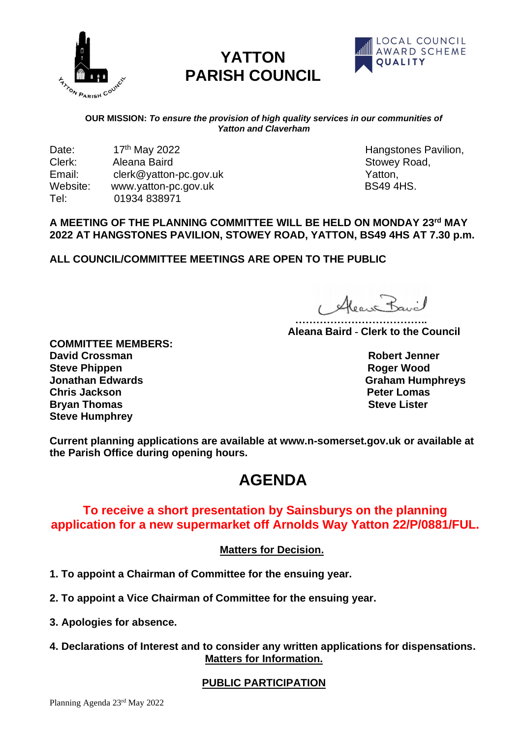

# **YATTON PARISH COUNCIL**



#### **OUR MISSION:** *To ensure the provision of high quality services in our communities of Yatton and Claverham*

Date: 17th May 2022 Hangstones Pavilion, Clerk: Aleana Baird Stowey Road, Email: clerk@yatton-pc.gov.uk Contact Contact Contact Contact Contact Contact Contact Contact Contact Contact Contact Contact Contact Contact Contact Contact Contact Contact Contact Contact Contact Contact Contact Contact Website: www.yatton-pc.gov.uk BS49 4HS. Tel: 01934 838971

## **A MEETING OF THE PLANNING COMMITTEE WILL BE HELD ON MONDAY 23 rd MAY 2022 AT HANGSTONES PAVILION, STOWEY ROAD, YATTON, BS49 4HS AT 7.30 p.m.**

**ALL COUNCIL/COMMITTEE MEETINGS ARE OPEN TO THE PUBLIC**

1 Alean Bavil

 **……………………………….. Aleana Baird - Clerk to the Council**

**COMMITTEE MEMBERS: David Crossman Robert Jenner Steve Phippen Roger Wood Jonathan Edwards** Graham Humphreys **Chris Jackson Peter Lomas Bryan Thomas Steve Humphrey** 

**Current planning applications are available at www.n-somerset.gov.uk or available at the Parish Office during opening hours.**

# **AGENDA**

## **To receive a short presentation by Sainsburys on the planning application for a new supermarket off Arnolds Way Yatton 22/P/0881/FUL.**

## **Matters for Decision.**

- **1. To appoint a Chairman of Committee for the ensuing year.**
- **2. To appoint a Vice Chairman of Committee for the ensuing year.**
- **3. Apologies for absence.**
- **4. Declarations of Interest and to consider any written applications for dispensations. Matters for Information.**

## **PUBLIC PARTICIPATION**